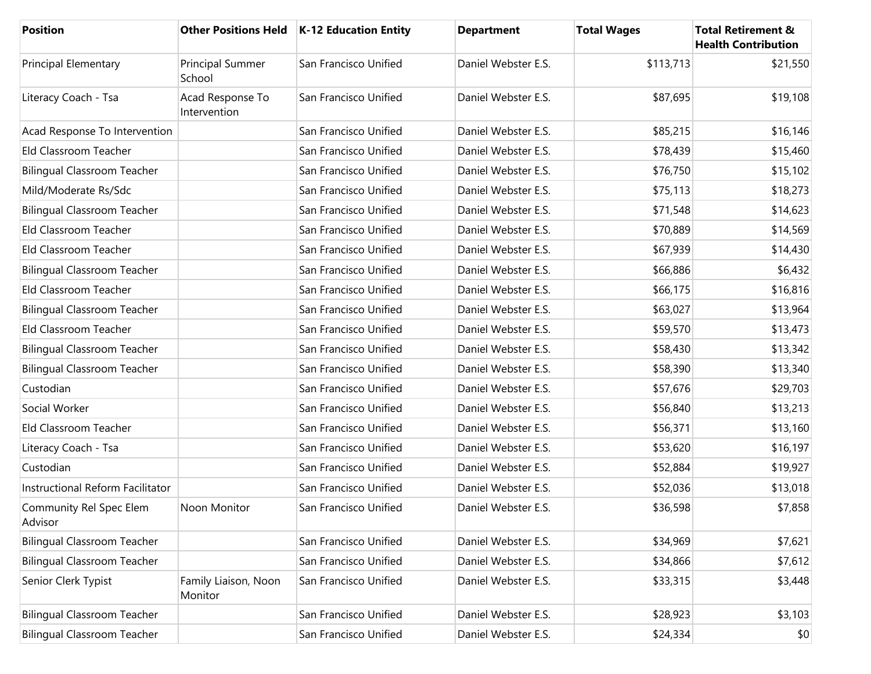| <b>Position</b>                    |                                  | Other Positions Held   K-12 Education Entity | <b>Department</b>   | <b>Total Wages</b> | <b>Total Retirement &amp;</b><br><b>Health Contribution</b> |
|------------------------------------|----------------------------------|----------------------------------------------|---------------------|--------------------|-------------------------------------------------------------|
| Principal Elementary               | Principal Summer<br>School       | San Francisco Unified                        | Daniel Webster E.S. | \$113,713          | \$21,550                                                    |
| Literacy Coach - Tsa               | Acad Response To<br>Intervention | San Francisco Unified                        | Daniel Webster E.S. | \$87,695           | \$19,108                                                    |
| Acad Response To Intervention      |                                  | San Francisco Unified                        | Daniel Webster E.S. | \$85,215           | \$16,146                                                    |
| Eld Classroom Teacher              |                                  | San Francisco Unified                        | Daniel Webster E.S. | \$78,439           | \$15,460                                                    |
| <b>Bilingual Classroom Teacher</b> |                                  | San Francisco Unified                        | Daniel Webster E.S. | \$76,750           | \$15,102                                                    |
| Mild/Moderate Rs/Sdc               |                                  | San Francisco Unified                        | Daniel Webster E.S. | \$75,113           | \$18,273                                                    |
| <b>Bilingual Classroom Teacher</b> |                                  | San Francisco Unified                        | Daniel Webster E.S. | \$71,548           | \$14,623                                                    |
| Eld Classroom Teacher              |                                  | San Francisco Unified                        | Daniel Webster E.S. | \$70,889           | \$14,569                                                    |
| Eld Classroom Teacher              |                                  | San Francisco Unified                        | Daniel Webster E.S. | \$67,939           | \$14,430                                                    |
| <b>Bilingual Classroom Teacher</b> |                                  | San Francisco Unified                        | Daniel Webster E.S. | \$66,886           | \$6,432                                                     |
| Eld Classroom Teacher              |                                  | San Francisco Unified                        | Daniel Webster E.S. | \$66,175           | \$16,816                                                    |
| <b>Bilingual Classroom Teacher</b> |                                  | San Francisco Unified                        | Daniel Webster E.S. | \$63,027           | \$13,964                                                    |
| Eld Classroom Teacher              |                                  | San Francisco Unified                        | Daniel Webster E.S. | \$59,570           | \$13,473                                                    |
| <b>Bilingual Classroom Teacher</b> |                                  | San Francisco Unified                        | Daniel Webster E.S. | \$58,430           | \$13,342                                                    |
| <b>Bilingual Classroom Teacher</b> |                                  | San Francisco Unified                        | Daniel Webster E.S. | \$58,390           | \$13,340                                                    |
| Custodian                          |                                  | San Francisco Unified                        | Daniel Webster E.S. | \$57,676           | \$29,703                                                    |
| Social Worker                      |                                  | San Francisco Unified                        | Daniel Webster E.S. | \$56,840           | \$13,213                                                    |
| Eld Classroom Teacher              |                                  | San Francisco Unified                        | Daniel Webster E.S. | \$56,371           | \$13,160                                                    |
| Literacy Coach - Tsa               |                                  | San Francisco Unified                        | Daniel Webster E.S. | \$53,620           | \$16,197                                                    |
| Custodian                          |                                  | San Francisco Unified                        | Daniel Webster E.S. | \$52,884           | \$19,927                                                    |
| Instructional Reform Facilitator   |                                  | San Francisco Unified                        | Daniel Webster E.S. | \$52,036           | \$13,018                                                    |
| Community Rel Spec Elem<br>Advisor | Noon Monitor                     | San Francisco Unified                        | Daniel Webster E.S. | \$36,598           | \$7,858                                                     |
| <b>Bilingual Classroom Teacher</b> |                                  | San Francisco Unified                        | Daniel Webster E.S. | \$34,969           | \$7,621                                                     |
| <b>Bilingual Classroom Teacher</b> |                                  | San Francisco Unified                        | Daniel Webster E.S. | \$34,866           | \$7,612                                                     |
| Senior Clerk Typist                | Family Liaison, Noon<br>Monitor  | San Francisco Unified                        | Daniel Webster E.S. | \$33,315           | \$3,448                                                     |
| <b>Bilingual Classroom Teacher</b> |                                  | San Francisco Unified                        | Daniel Webster E.S. | \$28,923           | \$3,103                                                     |
| <b>Bilingual Classroom Teacher</b> |                                  | San Francisco Unified                        | Daniel Webster E.S. | \$24,334           | \$0                                                         |